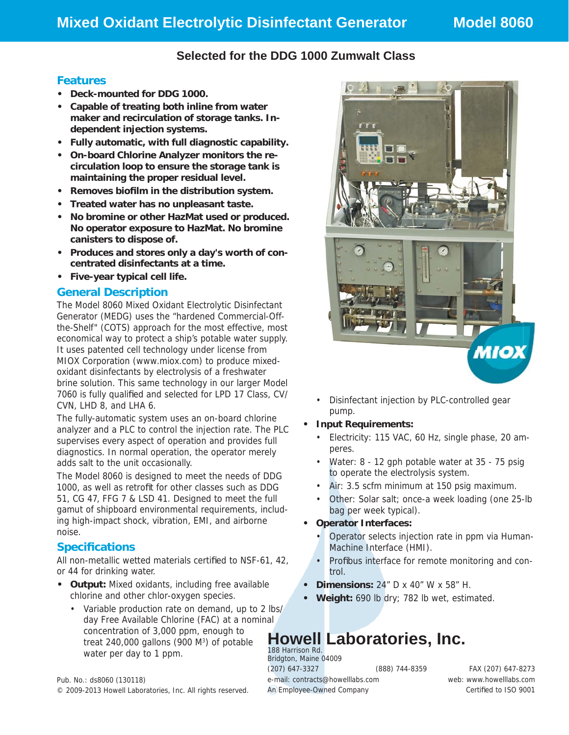## **Selected for the DDG 1000 Zumwalt Class**

### **Features**

- **Deck-mounted for DDG 1000.**
- **Capable of treating both inline from water maker and recirculation of storage tanks. Independent injection systems.**
- **Fully automatic, with full diagnostic capability.**
- **On-board Chlorine Analyzer monitors the recirculation loop to ensure the storage tank is maintaining the proper residual level.**
- **Removes biofi lm in the distribution system.**
- **Treated water has no unpleasant taste.**
- **No bromine or other HazMat used or produced. No operator exposure to HazMat. No bromine canisters to dispose of.**
- **Produces and stores only a day's worth of concentrated disinfectants at a time.**
- **Five-year typical cell life.**

#### **General Description**

The Model 8060 Mixed Oxidant Electrolytic Disinfectant Generator (MEDG) uses the "hardened Commercial-Offthe-Shelf" (COTS) approach for the most effective, most economical way to protect a ship's potable water supply. It uses patented cell technology under license from MIOX Corporation (www.miox.com) to produce mixedoxidant disinfectants by electrolysis of a freshwater brine solution. This same technology in our larger Model 7060 is fully qualified and selected for LPD 17 Class, CV/ CVN, LHD 8, and LHA 6.

The fully-automatic system uses an on-board chlorine analyzer and a PLC to control the injection rate. The PLC supervises every aspect of operation and provides full diagnostics. In normal operation, the operator merely adds salt to the unit occasionally.

The Model 8060 is designed to meet the needs of DDG 1000, as well as retrofit for other classes such as DDG 51, CG 47, FFG 7 & LSD 41. Designed to meet the full gamut of shipboard environmental requirements, including high-impact shock, vibration, EMI, and airborne noise.

## **Specifi cations**

All non-metallic wetted materials certified to NSF-61, 42, or 44 for drinking water.

- **Output:** Mixed oxidants, including free available chlorine and other chlor-oxygen species.
	- Variable production rate on demand, up to 2 lbs/ day Free Available Chlorine (FAC) at a nominal concentration of 3,000 ppm, enough to treat  $240,000$  gallons (900 M<sup>3</sup>) of potable water per day to 1 ppm.



• Disinfectant injection by PLC-controlled gear pump.

#### **• Input Requirements:**

- Electricity: 115 VAC, 60 Hz, single phase, 20 amperes.
- Water: 8 12 gph potable water at 35 75 psig to operate the electrolysis system.
- Air: 3.5 scfm minimum at 150 psig maximum.
- Other: Solar salt; once-a week loading (one 25-lb bag per week typical).
- **Operator Interfaces:** 
	- Operator selects injection rate in ppm via Human-Machine Interface (HMI).
	- Profibus interface for remote monitoring and control.
- **Dimensions:** 24" D x 40" W x 58" H.
- **Weight:** 690 lb dry; 782 lb wet, estimated.

# **Howell Laboratories, Inc.**

188 Harrison Rd. Bridgton, Maine 04009 (207) 647-3327 (888) 744-8359 FAX (207) 647-8273 e-mail: contracts@howelllabs.com web: www.howelllabs.com An Employee-Owned Company and the Certified to ISO 9001

Pub. No.: ds8060 (130118) © 2009-2013 Howell Laboratories, Inc. All rights reserved.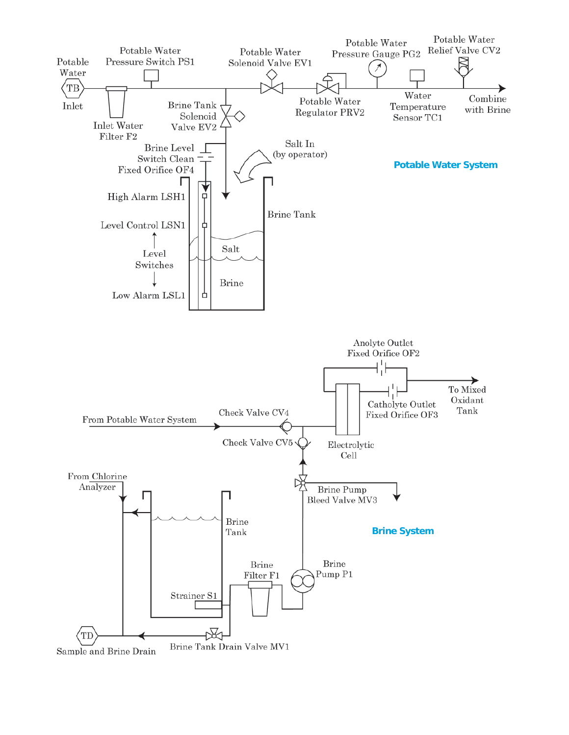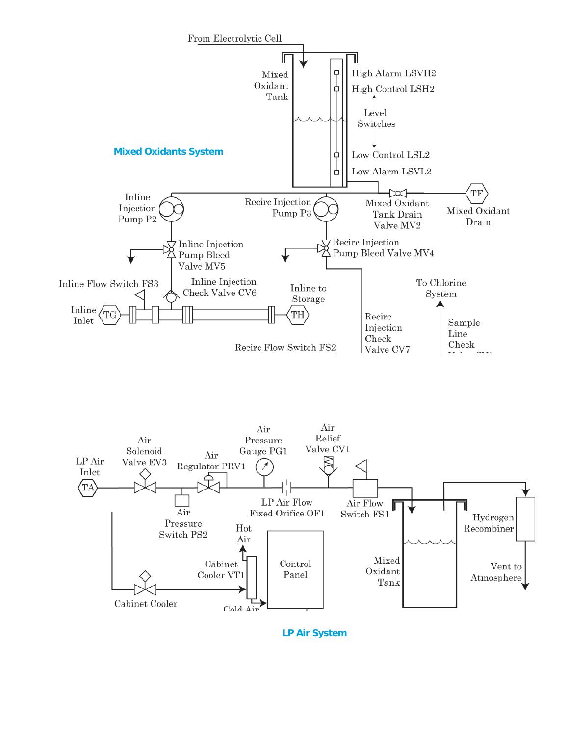



**LP Air System**